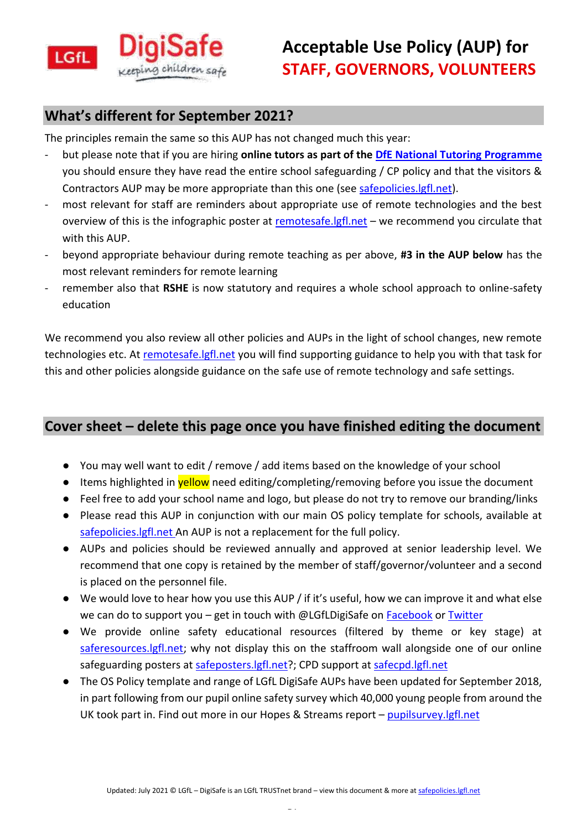

### **What's different for September 2021?**

The principles remain the same so this AUP has not changed much this year:

- but please note that if you are hiring **online tutors as part of the [DfE National Tutoring Programme](https://educationendowmentfoundation.org.uk/covid-19-resources/national-tutoring-programme/ntp-faqs/)** you should ensure they have read the entire school safeguarding / CP policy and that the visitors & Contractors AUP may be more appropriate than this one (see [safepolicies.lgfl.net\)](https://safepolicies.lgfl.net/).
- most relevant for staff are reminders about appropriate use of remote technologies and the best overview of this is the infographic poster at [remotesafe.lgfl.net](https://national.lgfl.net/digisafe/safe-remote-learning) - we recommend you circulate that with this AUP.
- beyond appropriate behaviour during remote teaching as per above, **#3 in the AUP below** has the most relevant reminders for remote learning
- remember also that RSHE is now statutory and requires a whole school approach to online-safety education

We recommend you also review all other policies and AUPs in the light of school changes, new remote technologies etc. At [remotesafe.lgfl.net](https://national.lgfl.net/digisafe/safe-remote-learning) you will find supporting guidance to help you with that task for this and other policies alongside guidance on the safe use of remote technology and safe settings.

## **Cover sheet – delete this page once you have finished editing the document**

- You may well want to edit / remove / add items based on the knowledge of your school
- Items highlighted in **yellow** need editing/completing/removing before you issue the document
- Feel free to add your school name and logo, but please do not try to remove our branding/links
- Please read this AUP in conjunction with our main OS policy template for schools, available at [safepolicies.lgfl.net](https://safepolicies.lgfl.net/) An AUP is not a replacement for the full policy.
- AUPs and policies should be reviewed annually and approved at senior leadership level. We recommend that one copy is retained by the member of staff/governor/volunteer and a second is placed on the personnel file.
- We would love to hear how you use this AUP / if it's useful, how we can improve it and what else we can do to support you – get in touch with @LGfLDigiSafe on [Facebook](https://www.facebook.com/lgfldigisafe) o[r Twitter](https://twitter.com/LGfLDigiSafe)
- We provide online safety educational resources (filtered by theme or key stage) at [saferesources.lgfl.net;](https://saferesources.lgfl.net/) why not display this on the staffroom wall alongside one of our online safeguarding [posters](https://posters.lgfl.net/) at [safeposters.lgfl.net?](https://safeposters.lgfl.net/); CPD support at [safecpd.lgfl.net](https://cpd.lgfl.net/)
- The OS Policy template and range of LGfL DigiSafe AUPs have been updated for September 2018, in part following from our pupil online safety survey which 40,000 young people from around the UK took part in. Find out more in our Hopes & Streams report - [pupilsurvey.lgfl.net](https://pupilsurvey.lgfl.net/)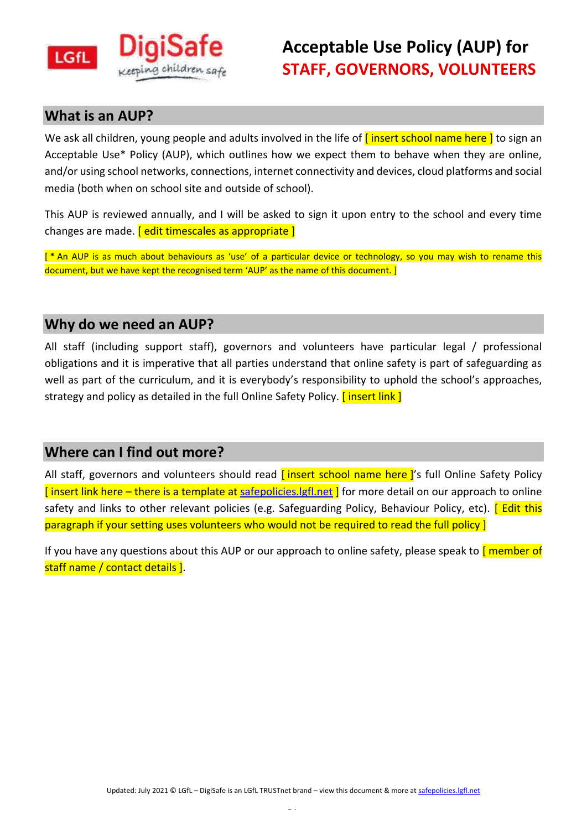

#### **What is an AUP?**

We ask all children, young people and adults involved in the life of  $\int$  insert school name here  $\int$  to sign an Acceptable Use\* Policy (AUP), which outlines how we expect them to behave when they are online, and/or using school networks, connections, internet connectivity and devices, cloud platforms and social media (both when on school site and outside of school).

This AUP is reviewed annually, and I will be asked to sign it upon entry to the school and every time changes are made. [ edit timescales as appropriate ]

[ \* An AUP is as much about behaviours as 'use' of a particular device or technology, so you may wish to rename this document, but we have kept the recognised term 'AUP' as the name of this document. ]

### **Why do we need an AUP?**

All staff (including support staff), governors and volunteers have particular legal / professional obligations and it is imperative that all parties understand that online safety is part of safeguarding as well as part of the curriculum, and it is everybody's responsibility to uphold the school's approaches, strategy and policy as detailed in the full Online Safety Policy. *[insert link]* 

#### **Where can I find out more?**

All staff, governors and volunteers should read *[insert school name here]*'s full Online Safety Policy  $\sqrt{ }$  insert link here – there is a template at safepolicies. Igfl.net  $\sqrt{ }$  for more detail on our approach to online safety and links to other relevant policies (e.g. Safeguarding Policy, Behaviour Policy, etc). [ Edit this paragraph if your setting uses volunteers who would not be required to read the full policy ]

If you have any questions about this AUP or our approach to online safety, please speak to  $\sqrt{\frac{m}{n}}$ staff name / contact details ].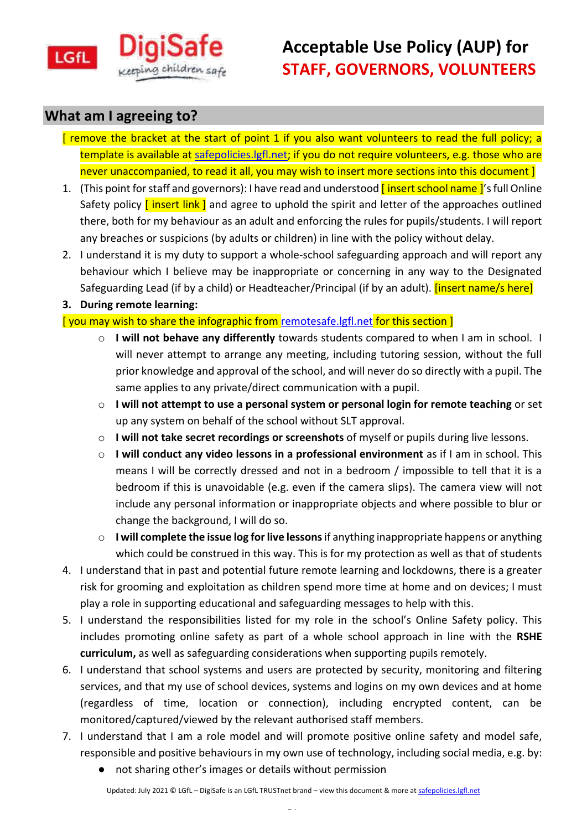

# **Acceptable Use Policy (AUP) for STAFF, GOVERNORS, VOLUNTEERS**

### **What am I agreeing to?**

- [ remove the bracket at the start of point 1 if you also want volunteers to read the full policy; a template is available at [safepolicies.lgfl.net;](https://safepolicies.lgfl.net/) if you do not require volunteers, e.g. those who are never unaccompanied, to read it all, you may wish to insert more sections into this document ]
- 1. (This point for staff and governors): I have read and understood *[insert school name ]'s full Online* Safety policy **[insert link]** and agree to uphold the spirit and letter of the approaches outlined there, both for my behaviour as an adult and enforcing the rules for pupils/students. I will report any breaches or suspicions (by adults or children) in line with the policy without delay.
- 2. I understand it is my duty to support a whole-school safeguarding approach and will report any behaviour which I believe may be inappropriate or concerning in any way to the Designated Safeguarding Lead (if by a child) or Headteacher/Principal (if by an adult). *[insert name/s here]*
- **3. During remote learning:**

[ you may wish to share the infographic from [remotesafe.lgfl.net](https://national.lgfl.net/digisafe/safe-remote-learning) for this section ]

- o **I will not behave any differently** towards students compared to when I am in school. I will never attempt to arrange any meeting, including tutoring session, without the full prior knowledge and approval of the school, and will never do so directly with a pupil. The same applies to any private/direct communication with a pupil.
- o **I will not attempt to use a personal system or personal login for remote teaching** or set up any system on behalf of the school without SLT approval.
- o **I will not take secret recordings or screenshots** of myself or pupils during live lessons.
- o **I will conduct any video lessons in a professional environment** as if I am in school. This means I will be correctly dressed and not in a bedroom / impossible to tell that it is a bedroom if this is unavoidable (e.g. even if the camera slips). The camera view will not include any personal information or inappropriate objects and where possible to blur or change the background, I will do so.
- o **I will complete the issue log for live lessons** if anything inappropriate happens or anything which could be construed in this way. This is for my protection as well as that of students
- 4. I understand that in past and potential future remote learning and lockdowns, there is a greater risk for grooming and exploitation as children spend more time at home and on devices; I must play a role in supporting educational and safeguarding messages to help with this.
- 5. I understand the responsibilities listed for my role in the school's Online Safety policy. This includes promoting online safety as part of a whole school approach in line with the **RSHE curriculum,** as well as safeguarding considerations when supporting pupils remotely.
- 6. I understand that school systems and users are protected by security, monitoring and filtering services, and that my use of school devices, systems and logins on my own devices and at home (regardless of time, location or connection), including encrypted content, can be monitored/captured/viewed by the relevant authorised staff members.
- 7. I understand that I am a role model and will promote positive online safety and model safe, responsible and positive behaviours in my own use of technology, including social media, e.g. by:
	- not sharing other's images or details without permission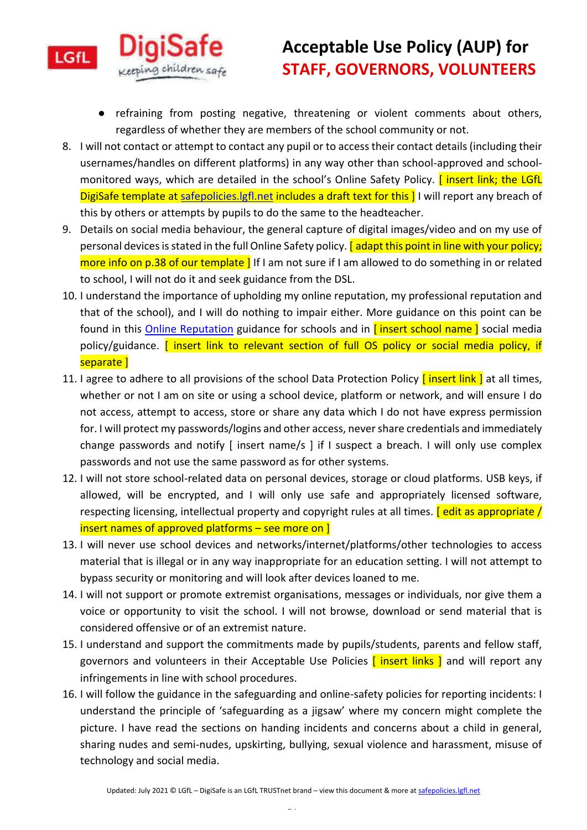

# **Acceptable Use Policy (AUP) for STAFF, GOVERNORS, VOLUNTEERS**

- refraining from posting negative, threatening or violent comments about others, regardless of whether they are members of the school community or not.
- 8. I will not contact or attempt to contact any pupil or to access their contact details (including their usernames/handles on different platforms) in any way other than school-approved and schoolmonitored ways, which are detailed in the school's Online Safety Policy. *[insert link; the LGfL* DigiSafe template at safepolicies. Igfl.net includes a draft text for this ] I will report any breach of this by others or attempts by pupils to do the same to the headteacher.
- 9. Details on social media behaviour, the general capture of digital images/video and on my use of personal devices is stated in the full Online Safety policy. [adapt this point in line with your policy; more info on p.38 of our template ] If I am not sure if I am allowed to do something in or related to school, I will not do it and seek guidance from the DSL.
- 10. I understand the importance of upholding my online reputation, my professional reputation and that of the school), and I will do nothing to impair either. More guidance on this point can be found in this [Online Reputation](http://onlinerep.lgfl.net/) guidance for schools and in *[insert school name]* social media policy/guidance. **[ insert link to relevant section of full OS policy or social media policy, if** separate 1
- 11. I agree to adhere to all provisions of the school Data Protection Policy *[insert link]* at all times, whether or not I am on site or using a school device, platform or network, and will ensure I do not access, attempt to access, store or share any data which I do not have express permission for. I will protect my passwords/logins and other access, never share credentials and immediately change passwords and notify [ insert name/s ] if I suspect a breach. I will only use complex passwords and not use the same password as for other systems.
- 12. I will not store school-related data on personal devices, storage or cloud platforms. USB keys, if allowed, will be encrypted, and I will only use safe and appropriately licensed software, respecting licensing, intellectual property and copyright rules at all times. **[edit as appropriate /** insert names of approved platforms – see more on ]
- 13. I will never use school devices and networks/internet/platforms/other technologies to access material that is illegal or in any way inappropriate for an education setting. I will not attempt to bypass security or monitoring and will look after devices loaned to me.
- 14. I will not support or promote extremist organisations, messages or individuals, nor give them a voice or opportunity to visit the school. I will not browse, download or send material that is considered offensive or of an extremist nature.
- 15. I understand and support the commitments made by pupils/students, parents and fellow staff, governors and volunteers in their Acceptable Use Policies **[insert links ]** and will report any infringements in line with school procedures.
- 16. I will follow the guidance in the safeguarding and online-safety policies for reporting incidents: I understand the principle of 'safeguarding as a jigsaw' where my concern might complete the picture. I have read the sections on handing incidents and concerns about a child in general, sharing nudes and semi-nudes, upskirting, bullying, sexual violence and harassment, misuse of technology and social media.